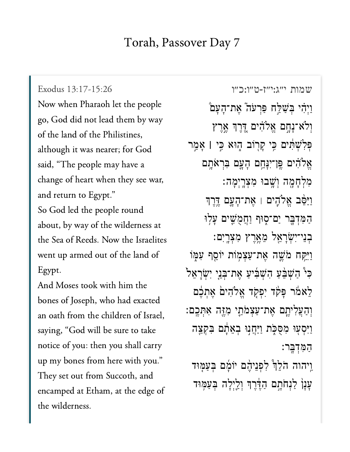## Torah, Passover Day 7

[שמות י״ג:י״ז-ט״ו:כ״ו](https://www.sefaria.org/Exodus%2013:17-15:26) 13:17-15:26 Exodus Exodus 13:17-15:26 Now when Pharaoh let the people go, God did not lead them by way of the land of the Philistines, although it was nearer; for God said, "The people may have a change of heart when they see war, and return to Egypt." So God led the people round  $t = 1$  of  $\mathcal{L}$   $\mathcal{L}$   $\mathcal{L}$   $\mathcal{L}$   $\mathcal{L}$   $\mathcal{L}$   $\mathcal{L}$   $\mathcal{L}$   $\mathcal{L}$   $\mathcal{L}$   $\mathcal{L}$   $\mathcal{L}$   $\mathcal{L}$   $\mathcal{L}$   $\mathcal{L}$   $\mathcal{L}$   $\mathcal{L}$   $\mathcal{L}$   $\mathcal{L}$   $\mathcal{L}$   $\mathcal{L}$   $\mathcal{L}$   $\mathcal{L}$   $\mathcal$ the Sea of Reeds. Now the Israelites Egypt. $\Gamma$  and  $\Gamma$  measured with him the matrix  $\Gamma$ 

And Moses took with him the bones of Joseph, who had exacted an oath from the children of Israel, saying, "God will be sure to take notice of you: then you shall carry up my bones from here with you." They set out from Succoth, and the wilderness.<br>The wilderness of the wilderness. the wilderness.

וַיְהִי בְּשַׁלַּח פַּרְעֹה ֿאֶת־הָעָם וְלֹא־נָחֶם אֱלֹהִ֫ים דֶּרֶךְ אֱרֶץ ְּפ ִל ְׁש ִּ֔ת ים ִּ֥כ י ָק ֖ר ֹוב ֑ה ּוא ִּ֣כ י **׀** ָא ַ֣מ ר אֱלֹהִ֫ים פֶּן־יִנְּחֵם הָעֲם בִּרְאֹתֵם מְלִחָמָה וְשֵׁבוּ מִצְרָיִמָה: וַיַּסֵּׁב אֱלֹהֶים <sub>ּ</sub>ו אֶת־הָעֲם דֱרֶךְ הַמְּדְבָּר יַם־סְוּף וַחֲמֻשֵׁים עָלְוּ ֹבְנֵי־ִיְשְׂרָאֵל מֵאֱרֶץ מִצְרֱיִם: וַיִּקַח מֹשֵׁה אֲת־עַצִמְוֹת יוֹסֵף עִמְּוֹ ֿכִּי הַשְׁבֵּעַ הָשְׁבִיעַ אֶת־בְּנֵי יִשְׂרָאֵל לֵאמֹר פָּקׂד יִפְקָד אֱלֹהִיםׂ אֶתְבֶם וְהַעֲלִיתֵם אֵת־עַצְמֹתֵי מְזֵּה אִתְּכֵם: וַיִּסְעָוּ מְסֻכָּת וַיַּחֲנְוּ בְאֵתָם בִּקְצֵה ַה ִּמ ְד ָּֽב ר׃ ַוַיהוה הֹלֵךְ לְפִנֵיהֵם יוֹמַם בְּעַמְּוּד ַעֲנָן לַנְחֹתֵם הַדֵּ<sup>ׂ-</sup>רֶךְ וְלֵיְלָה בְּעַמְּוּד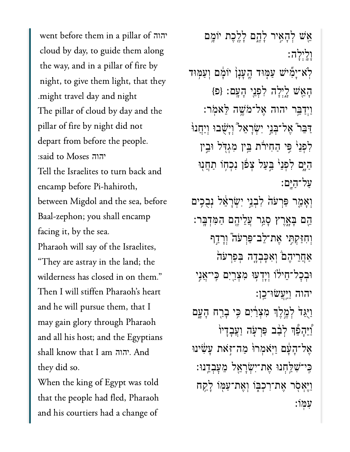country day, to guide them along them along cloud by day, to guide them along the way, and in a pillar of fire by the way, and in a pillar of fire by<br>night, to give them light, that they יהוה .might travel day and night The pillar of cloud by day and the  $d = \frac{1}{2}$  from before the people. depart from before the people. יהוה  $T$ elites to turn back and  $T$ Tell the Israelites to turn back and encamp before Pi-hahiroth, between Migdol and the sea, before Baal-zephon; you shall encamp facing it, by the sea. Pharaoh will say of the Israelites, "They are astray in the land; the wilderness has closed in on them." and it will pure the mean  $\alpha$  is the  $\alpha$ and he will pursue them, that I may gain glory through Pharaoh and all his host; and the Egypti<br>shall know that I am הוה. And  $\overline{1}$   $\overline{1}$   $\overline{1}$   $\overline{1}$ יהוה they did so.

When the king of Egypt was told that the people had fled, Pharaoh and his courtiers had a change of

אֵשׁ לְהָאֵיר לָהֶם לָלֶכֶת יוֹמֵם ָוָֽלְיָלה׃ ּלְׂא־יָמִיׁשׁ עַמְּוּד הֱעָנָן יוֹמָם וְעַמְּוּד ָהֵ֖אׁש ָ֑לְיָלה ִלְפֵ֖ני ָהָֽעם׃ }פ{ ַוְיַדֵּ֥בר יהוה ֶאל־ֹמֶׁ֥שה ֵּלאֹֽמר׃ ַדְּבֵר אֱל־ִבְּנֵי יְשָׂרָאֱל וְיָשָׁבוּ וְיַחֲנוּ ַלְפָנֵי ּפֵי הַחִירֹת ִבֵּין מְגִדְּל וִּבֵין ַהַיֵּם לִפְנֵי ּבֵעֲל צִפוֹ נִכְחָו תַחֲנִוּ ַעל־ַהָּֽים׃ וְאָמָר פַּרְעֹהֹ לְבְנֵי יְשָׂרָאֵ֫ל וְבָבֵים ֵ֖הם ָּבָ֑אֶרץ ָסַ֥גר ֲעֵליֶ֖הם ַהִּמְדָּֽבר׃ וְחִזַּקְתֵּי אֱת־לֵב־פַּרְעֹה וְרַדֵּף אַחֲרִיהֶם וְאִכָּבְדֶה בְּפַרְעֹה ּוּבְכָל־חֵילֹוֹ וְיָדִעִּוּ מִצְרֵיִם כֵּי־אֲנֵי יהוה ַוַּֽיֲעׂשּו־ֵֽכן׃ וַיְּגַדׂ לְמֶלֶךְ מְצָרַיִם כִּי בָרַח הָעֲם וְיֵהָפֶר לְבֹב פִּרְעָ*ה* וַעֲבַדִיוֹ אֶל־דָעָם וַיֹּאמִרוּׂ מַה־זִּאת עַשִׂינוּ ִּֽכי־ִׁשַּ֥לְחנּו ֶאת־ִיְׂשָרֵ֖אל ֵמׇעְבֵֽדנּו׃ וַיֵּאָסִר אֵת־רִכִּבְּוֹ וְאֶת־עַמְּוֹ לְקָח ִעּֽמֹו׃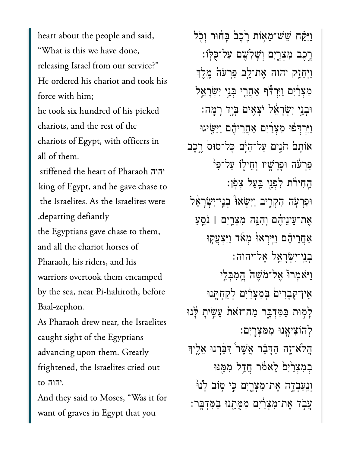heart about the people and said, "What is this we have done, releasing Israel from our service?" He ordered his chariot and took his force with him; he took six hundred of his picked chariots, and the rest of the chariots of Egypt, with officers in all of them. stiffened the heart of Pharaoh יהוה king of Egypt, and he gave chase to the Israelites. As the Israelites were , departing defiantly the Egyptians gave chase to them, and all the chariot horses of Pharaoh, his riders, and his warriors overtook them encamped by the sea, near Pi-hahiroth, before Baal-zephon. As Pharaoh drew near, the Israelites

caught sight of the Egyptians advancing upon them. Greatly frightened, the Israelites cried out  $\overline{\text{to}}$  הוה

And they said to Moses, "Was it for want of graves in Egypt that you

וַיִּקַּח שֵׁשֹ־מֵאָוֹת רֵבְבֹ בַּחוּר וְכִל רֱכֶב מִצְרֱיִם וִשָׁלִשֵׁם עַל־כִּלּוֹ: וַיִּחַזֵּק יהוה אֵת־לֵב פַּרְעֹה מֵלֵךְ מִצְרַיִּם וַיִּרְדִּ֫ף אַחֲרֵי בְּנֵי יִשְׂרָאֱל וּבְנֵי יִשְׂרָאֵל יֹצְאֵים בְּיֶד רָמֱה: וַיִּרְדִּפֿוּ מְצְרַיָּם אַחֲרֵיהֶם וַיַּשֵׂיגוּ אוֹתָם חֹגִים עַל־הַיָּם כָּל־סוּס רֶכֶב פּרִעֹּה וּפַרֲשֵׁיוּ וְחֵילְוֹ עַל־פִּי הַחִירֹת לִפְנֵי בַּעַל צִפֹן: וּפַרִעָ*ה הִ*קְרֵיב וַיִּשְׂאוּ בְנֵי־יִשְׂרָאֵל אֶת־עֵינֵיהֶם וְהָנֵּה מִצְרֵיִם | נֹסֵעַ אַחֲרִיהֶם וַיֵּירְאוּ מְאֹד וַיִּצְעֲקְוּ בְנֵי־יִשְׂרָאֱל אֱל־יהוה: וַיֹּאמִרוֹ אֲל־מֹשֵׁהֹ הֲמִבְלֵי אֵין־קִבָרִים בִּמְצְרַ֫יִם לְקַחָתֵּנוּ לָמְוּת בַּמְדְבָר מַה־זּאֹת עָשָׂיתָ לָּנוּ לְהוֹצִיאֲנוּ מִמְצְרֵיִם: הַלֹא־זֶה הַדָּבָר אֲשֶׁר ּדְּבַּ֫רְנוּ אֱלֵיךִ במִצְרַיִםׂ לֵאמֹר חֲדֵל מִמֱנּוּ וְנְעַבְדֶה אֶת־מִצְרָיִם כֵּי טִוֹּב לַיּנוּ עֲבָד אֵת־מִצְרַיִם מִמְּחֵנוּ בַּמִּדְבֵּר: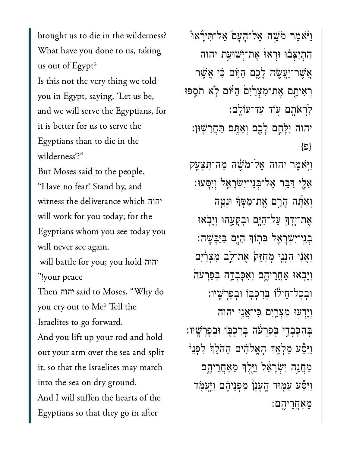brought us to die in the wilderness? What have you done to us, taking us out of Egypt? Is this not the very thing we told you in Egypt, saying, 'Let us be, and we will serve the Egyptians, for it is better for us to serve the Egyptians than to die in the wilderness'?"

But Moses said to the people, "Have no fear! Stand by, and will work for  $\mathbf{f}$  to the second for the  $\mathbf{f}$ will work for you today; for the Egyptians whom you see today you יהוה will never see again.

 יהוה  $\cdot$  11.1  $\cdot$  per peace peak "!your peace

y to meet to meet the Measure of the Measure of the Measure of the Measure of the Measure of the Measure of the Me<br>The Measure of the Measure of the Measure of the Measure of the Measure of the Measure of the Measure of th you cry out to Me? Tell the יהוה Israelites to go forward.

And you lift up your rod and hold<br>out vour arm over the sea and split out your arm over the sea and split it, so that the Israelites may march into the sea on dry ground. And I will stiffen the hearts of the Egyptians so that they go in after

ֿוַיֹּאמֶר מֹשֶׁה אֶל־הָעַם ֿאַל־תְּירָאוּ ִֽהְתַיְּצ֗בּו ּוְראּ֙ו ֶאת־ְיׁשּוַ֣עת יהוה אֲשֶׁר־יַעֲשֶׂה לָכֶם הַיִּוֹם ּכִּ֫י אֲשֵׁר רְאִיתֵם אֶת־מִצְרַיִּם הַיּּׂוֹם לְא תֹסֵפוּ ִלְרֹאָ֥תם ֖עֹוד ַעד־עֹוָֽלם׃ יהוה ִיָּלֵ֣חם ָלֶ֑כם ְוַאֶּ֖תם ַּתֲחִרֽׁשּון׃  $\{\Box\}$ ַוֹּ֤יאֶמר יהוה ֶאל־ֹמֶׁ֔שה ַמה־ִּתְצַ֖עק ֵאָ֑לי ַּדֵּ֥בר ֶאל־ְּבֵני־ִיְׂשָרֵ֖אל ְוִיָּֽסעּו׃ וְאַתֶּה הָרֵם אֱת־מַטְּךָ וּנִטֶּה ּאֵת־יָדְךָּ עַל־הַיֶּם וּבִקָעֶהוּ וְיָבָאוּ ְבֵֽני־ִיְׂשָרֵ֛אל ְּב֥תֹוְך ַהָּ֖ים ַּבַּיָּבָֽׁשה׃ ַוַאֲנִי הְנִנִי מְחַזֵּק ְאֶת־לֵב מְצִרַיִם וְיָבְאוּ אַחֲרִיהֶם וְאִכָּבְדֶה בִּפַּרְעֹה ּוּבְכָל־הֵילֹוֹ בִּרְכִבְּוֹ וּבְפָרַשֵׁיו: ְוָיְד֥עּו ִמְצַ֖רִים ִּכי־ֲאִ֣ני יהוה ְּבִהָּכְבִ֣די ְּבַפְרֹ֔עה ְּבִרְכּ֖בֹו ּוְבָפָרָֽׁשיו׃ וַיִּפֻֿע מַלְאָךְ הָאֱלֹהִים הַהֹלֵךְ לְפִנֵ<sup>י</sup> ַמְחֲנֵה יִשְׂרַאֵ*ּׁל וַיֵּלֶ*ךְ מֵאֲחֲרִיהֶם וַיִּפֵּע עַמִּוּד הֵעֲנַן מִפְּנֵיהֶם וַיַּעֲמִד ֵמַאֲחֵריֶֽהם׃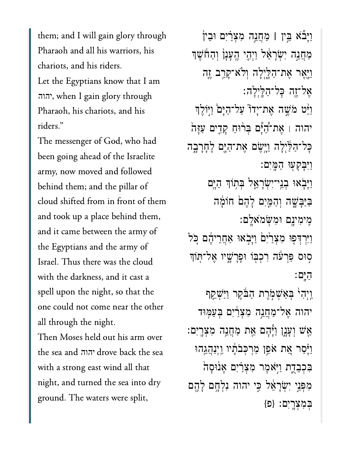them; and I will gain glory through Pharaoh and all his warriors, his chariots, and his riders. Let the Egyptians know that I am יהוה, when I gain glory through Pharaoh, his chariots, and his riders."

The messenger of God, who had been going ahead of the Israelite army, now moved and followed behind them; and the pillar of cloud shifted from in front of them and took up a place behind them, and it came between the army of the Egyptians and the army of Israel. Thus there was the cloud with the darkness, and it cast a spell upon the night, so that the one could not come near the other all through the night.

Then Moses held out his arm over the sea and יהוה drove back the sea with a strong east wind all that night, and turned the sea into dry ground. The waters were split,

וַיַּבׁّא בֵּין | מַחֲנֵה מְצְרַיִם וּבִין מַחֲגֵה יִשְׂרָאֵל וַיִּהִי הֵעָנָן וְהַחֹּשֶׁךְ <u>וַיְא</u>ֶר אֶת־הַלָּיִלַה וִלֹא־קַרֵּב זֵה אֵל־זֶה כָּל־הַלֵּיְלַה: וַיָּט מֹשֵׁה אֲת־יַדוֹ עַל־הַיָּם וַיִּוֹלֵךְ יהוה | אֵת־דָֿיָם בִּרוּחַ קָדִים עַזָּה כָּל־הַלַּ֫יִלָה וַיְּשֶׂם אֶת־הַיֶּם לֶחָרָבֶה וַיִּבַקְעוּ הַמַּיִם: וַיַּבְאוּ בִנֵי־יִשְׂרָאֱל בְּתְוֹדְּ הַיֶּם בַּיַּבָשָׁה וְהַמֵּיִם לַהֵם חוֹמַּה מֵימִינֵם וּמִשָּׂמֹאלֵם: וַיִּרְדִּפְוּ מְצִרַיִּםׂ וַיָּבְאוּ אַחֲרֵיהֶם כִּל סִוּּס פַּרְעֹׂה רִכְבְּוֹ וּפָרָשֵׁיו אֱל־תְּוֹךְ הים: וַיִּהִי בִּאַשְׁמְרֵת הַבֹּקֵר וַיַּשְׁקֵף יהוה אֵל־מַחֲנֵה מִצְרַׂיִם בִּעַמְּוּד אֵשׁ וְעָנֶן וַיִּּהָם אֵת מַחֲנֵה מִצְרֵיִם: וַיָּֿסַר אֵת אֹפֵן מַרְכְּבֹתָוּ וַיְנַהֲגֵהוּ בִּכְבֶדֶת וַיְאֹמֶר מִצְרַיִם אֲנוּסָה מִפְּנֵי יְשְׂרַאֵל כֵּי יהוה נִלְחֵם לַהֵם בִּמְצְרַיִם: {פ}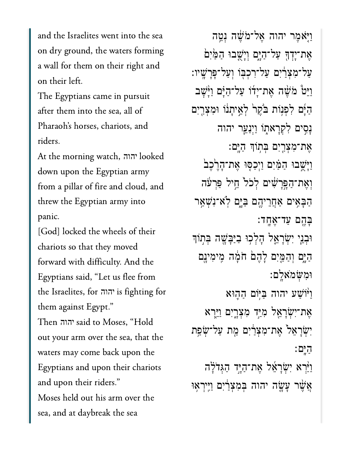and the Israelites went into the sea on dry ground, the waters forming a wall for them on their right and on their left.

after them into the sea, all ofPharaoh's horses, chariots, andPharaoh's horses, chariots, and  $\mathbf{A}_{\text{max}}$ 

 $\Delta x = 1$  upon the Egyptian army  $\Delta x = 1$ down upon the Egyptian army from a pillar of fire and cloud, and threw the Egyptian army into יהוה  $\mathcal{G}(\mathbf{r})$  is the wheels of the wheels of the wheels of the wheels of the wheels of the wheels of the wheels of the wheels of the wheels of the wheels of the wheels of the wheels of the wheels of the wheels of the whe

[God] locked the wheels of their chariots so that they moved forward with difficulty. And the יהוה is fighting for Egyptians said, "Let us flee from  $t$  is the  $\theta$  and them against Egypt."  $\overline{C}$  or  $\overline{C}$  the sea, the sea, the sea, the sea, the sea, the sea, the sea, the sea, the sea, the sea, the sea, the sea, the sea, the sea, the sea, the sea, the sea, the sea, the sea, the sea, the sea, the sea, th יהוה out your arm over the sea, that the waters may come back upon the Egyptians and upon their chariots. and upon their riders." Moses held out his arm over the sea, and at daybreak the sea

וַיָּאֹמֶר יהוה אֱל־מֹשֶׁה וָטֱה אֶת־יַדְךָ עַל־הַיָּם וְיַשָׁבוּ הַמֵּׂיִם ַעֲל־מְצָרַיִם עַל־רְכִבְּוֹ וְעַל־פָּרָשֵׁיו: וַיֵּט מֹשֶׁה אֶת־יַדוֹ עַל־הַיָּם וַיָּּשָׁב הַיָּם לְפִנְוֹת בֹּקֵר לְאֵיתָנֹו וּמְצָרֵיִם ָנִ֣סים ִלְקָרא֑תֹו ַוְיַנֵ֧ער יהוה אֶת־מִצְרַיִם בִּתְוֹךְ הַיֶּם: וַיְּשֶׁבוּ הַמַּׂיִם וַיְכַסָּוּ אֶת־הָרֶכֶׁב<sup>ַׂ</sup> וְאֶת־הַפֵּרִשִׁ֫ים לְכֹל חֱיל פַּרְעֹּה ַהָּבִ֥אים ַאֲחֵריֶ֖הם ַּבָּ֑ים ֹֽלא־ִנְׁשַ֥אר ַּבְהֶם עַד־אֶחֲד: וּבִנֵּי יִשְׂרָאֵל הָלְכְוּ בַיַּבְּשֶׁה בְּתוֹךָ ַהַיָּם וְהַמֵּיִם לָהֶם חֹמָה מִימִינֵם ּוִמְּׂשֹמאָֽלם׃ ַוּ֨יֹוַׁשע יהוה ַּבּ֥יֹום ַה֛הּוא אֶת־יִשְׂרָאֵל מִיַּד מְצָרָיִם וַיַּיִרא יְשָׂרַאֲל אֶת־מְצְרַיִם מֵת עַל־שָׂפֶת ַהָּֽים׃ וַיַּ֫רָא יִשְׂרָאֱל אֶת־הַיֶּד הַגְּדֹלָה ְאֲשֶׁר עָשֶׂה יהוה בִּמְצְרַיִם וַיִּיִרְאָוּ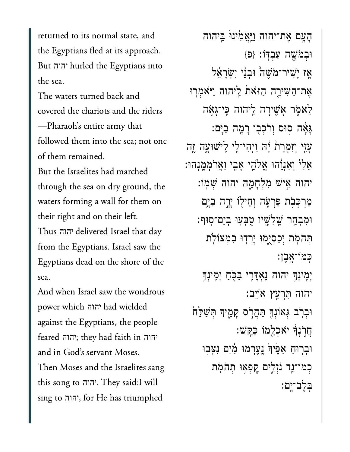returned to its normal state, and the Egyptians fled at its approach.  $\overline{D}_{\text{tot}}$   $\overline{D}_{\text{tot}}$ יהוה  $T_{\rm eff}$  waters turned back and  $T_{\rm eff}$ 

The waters turned back and covered the chariots and the riders -Pharaoh's entire army that followed them into the sea; not one of them remained.

But the Israelites had marched through the sea on dry ground, the waters forming a wall for them on their right and on their left. from the Egyptians. Israel show the Egyptians. from the Egyptians. Israel saw the Egyptians dead on the shore of the יהוה  $\mathbf{C}$ .

And when Israel saw the wondrous against the Egyptians, the people-<br>against the Egyptians, the pe<br>feared ההוה: thev had faith in  $\begin{array}{ccc} \bullet & \bullet & \bullet & \bullet \\ \bullet & \bullet & \bullet & \bullet & \bullet \end{array}$ יהוה יהוה יהוה and in God's servant Moses. and in God's servant Moses.<br>Then Moses and the Israelites sang<br>this song to ההוה. They said:I will this song to יהוה. They said:I will<br>sing to יהוה, for He has triumphed יהוה יהוה

הַעֲם אֵת־יהוה וַיַּאֲמִ<sup>וֹ</sup>נוּ בֵּיהוה ּוְּבְמֹּשֶׁה עַבְדּוֹ: {פ אַז יָּשֵׁיר־מֹּשֵׁה וּבְנֵי יִשְׂרָאֵל אֶת־הַשִּׁיַרֶה הַזּאֹת לֵיהוה וַיּאמְרִוּ לֵא<sub>ֹ</sub>מְׂר אָשִׁירָה לֵיהוה כֵּי־גָאָה ָּגָ֔אה ֥סּוס ְוֹרְכ֖בֹו ָרָ֥מה ַבָּֽים׃ עָׂזֶי וְזִמְרָת יְה וַיְהִי־לִי לִישׁוּעָָה זֶה אֵלִ<sup>וּ</sup> וְאַנְוֵהוּ אֱלֹהֵי אָבִי וַאֲרֹמְמֶנִהוּ: יהוה ִ֣איׁש ִמְלָחָ֑מה יהוה ְׁשֽמֹו׃ מַרְכִּבְׂת פַּרְעֶ*ׂה* וְחֵילְוֹ יָרֶה בַיָּם ּוִמְבַ֥חר ָֽׁשִלָׁ֖שיו ֻטְּב֥עּו ְבַים־ֽסּוף׃ תִּהֹמִׂת יִכְסְיֻמוּ יָרְדִוּ בְמִצוֹלִת ְּכמֹו־ָֽאֶבן׃ יְמִינְךָ יהוה נֶאְדָּרֶי ּבַּכְּחַ יְמִינְךָ יהוה ִּתְרַ֥עץ אֹוֵֽיב׃ וּבִרְב גִּאוֹנִךְּ תַּהֲרֹס קָמֱיִךָּ תִּשַׁלַּחֹ ֲחֹ֣רְנָ֔ך ֹיאְכֵ֖למֹו ַּכַּֽקׁש׃ וּבְרָוּחַ אַפֶּּיִךְ נֵעֶרְמוּ מַ֫יִם נִצְּבְוּ ֹכְמֹוֹ־נֵד נֹזְלִים קֵפְאִוּ תִהֹמְת ְּבֶלב־ָֽים׃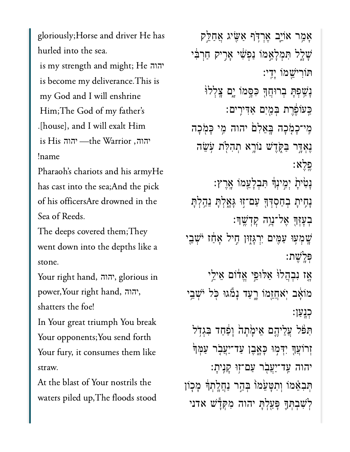gloriously; Horse and driver He has hurled into the sea.

.<br>is my strength and might; He גוה is become my deliverance. This is my God and I will enshrine Him; The God of my father's יהוה .[house], and I will exalt Him  $\begin{minipage}{.4\linewidth} \text{is His Hint} \text{``The Warrior''}. \end{minipage}$ יהוה, the Warrior<del>) י</del>הוה Pharaoh's chariots and his armyHe

Pharaoh's chariots and his armyHe has cast into the sea; And the pick of his officersAre drowned in the Sea of Reeds.

The deeps covered them; They went down into the depths like a  $\mathcal{L}_{\text{max}}$ 

 $\mathbf{y}$  right hand,  $\mathbf{y}$  right hand,  $\mathbf{y}$  $\begin{array}{ccc} \n\bullet & \bullet & \bullet & \bullet \\
\hline\n\bullet & \bullet & \bullet & \bullet & \bullet\n\end{array}$ יהוה יהוה shatters the foe!

In Your great triumph You break Your opponents; You send forth Your fury, it consumes them like  $A_{\rm eff}$  the blast of  $Y$  the blast of  $Y$ 

At the blast of Your nostrils the waters piled up, The floods stood

ָאַ֥מר אֹוֵ֛יב ֶאְרֹּ֥דף ַאִּׂ֖שיג ֲאַחֵּ֣לק ָׁשָ֑לל ִּתְמָלֵ֣אמֹו ַנְפִׁ֔שי ָאִ֣ריק ַחְרִּ֔בי ּתֹוִריֵׁ֖שמֹו ָיִֽדי׃ **ַנַּשְׁפְתָּ בְרוּחֲךְ כִּסֶמוֹ יָם צֵלְל**וּ ַּכְעֹוֹפֶּרֶת בְּמַיִם אַדִּירִים: מִי־כָמָׂכָה בַּאֵלְםׂ יהוה מֵי כָּמְכָה ֶנְאָּ֣דר ַּבֹּ֑קֶדׁש נֹוָ֥רא ְתִהֹּ֖לת ֹ֥עֵׂשה ָפֵלְא ָנָטִיתָׂ יְמִינְךָּ תִּבְלָעֵמוֹ אֱרֶץ: ַנְחִיתָ ּבְחַסְדְּךָ עַם־זְוּ גָּאָלְתָּ נֵהָלְתָּ ּבְעָזָּךָ אֲל־נֵוֶה קָדָשֵׁךָ׃ ַּשְׁמִעְוּ עַמְּיִם יִרְגַּזְוּן חֵיל אַחַז יֹּשָׁבֵי ְּפָֽלֶׁשת׃ ָאָז נִבְהֲלוֹ אַלּוּפֵי אֱדֹום אֵילֵי מֹוֹאֵב יִאֹחֲזֵמוֹ רֵעַד נָמגוּ כְּל יֹּשָׁבֵי ָכְנַען: תִּפּׁל עֲלֵיהֵם אֵימָׂתָה וָפַּחַד בִּגְדְל ֿזְרוֹעֲךָ יִדְּמִוּ כָּאֶבֶן עַד־יַעֲבָר עַמְּךֹ יהוה עַד־יַעֲבְר עַם־זִוּ קַנֵיתַ: ּתִּבְאֵּמֹו וְתִשָּׁעֵׂמוֹ בְּהֵר נַחֲלָתְךָּ מָכְוֹן ְלִׁשְבְּתָ֛ך ָּפַ֖עְלָּת יהוה ִמְּקָ֕דׁש אדני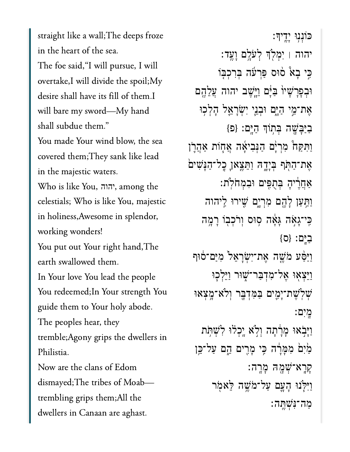straight like a wall; The deeps froze in the heart of the sea. The foe said, "I will pursue, I will overtake,I will divide the spoil;My desire shall have its fill of them.I will bare my sword-My hand shall subdue them." You made Your wind blow, the sea covered them; They sank like lead in the majestic waters.  $\overrightarrow{X}$ יהוה

celestials; Who is like You, majestic in holiness, Awesome in splendor, working wonders!

You put out Your right hand, The earth swallowed them. In Your love You lead the people You redeemed; In Your strength You guide them to Your holy abode.

The peoples hear, they tremble; Agony grips the dwellers in Philistia.

Now are the clans of Edom dismayed;The tribes of Moabtrembling grips them; All the dwellers in Canaan are aghast.

ֿכּונִנְוּ יָ<u>ד</u>ִיךּ: יהוה ׀ ִיְמֹ֖לְך ְלֹעָ֥לם ָוֶֽעד׃ ַּבִּי בָא טוּס פַּרְעֹׁה בִּרְכְבְּוֹ וּבְפָרָשָׁיוֹ בַּיָּם וַיֵּשֵׁב יהוה עֲלֶהֱם ּאֲת־מֵי הַיָּם וּבְנֵי יִשְׂרָאֱל הָלְכִוּ ַבַּיָּבַּשֶׁה בְּתִוֹךְ הַיֵּם: {פ וַתִּקַחْ מְרִיָּם הַנִּבִיאֶה אֲחָוֹת אַהֲרֶן אֶת־הַחִּׂף בְּיָדָהּ וַחֲצֵאוָ כָל־הַנַּשִׁים ַאֲחֶ֔ריָה ְּבֻתִּ֖פים ּוִבְמֹחֹֽלת׃ וַתַּעַן לָהֱם מִרְיָם שִׁירוּ לֵיהוה ַּכִּי־ְגַאָּה גַּאֲה סִוּּס וְרֹכְבְוֹ רָמֱה  $\{$ ס $\}$ : בים וַיַּסַע מֹּשֶׁה אֶת־יִשְׂרָאֵל מִיַּם־סֹוּף וַיֵּצְאָוּ אֵל־מְדָבַר־שָׁוּר וַיֵּלְכָוּ ְׁשֹֽלֶׁשת־ָיִ֛מים ַּבִּמְדָּ֖בר ְוֹלא־ָ֥מְצאּו ָֽמִים׃ וַיְּבְׂאוּ מָרָתָה וִלְאֹ יֵכְלוּ לְשִׁתֹּת ַמַּׂיִם מִמְּרָ֫ה כִּי מָרִים הֵ֣ם עַל־כֵּ֣ן ָקָֽרא־ְׁשָ֖מּה ָמָֽרה׃ וַיִּיִּיֹנוּ הָעֲם עַל־מֹשֵׁה יֵאׁמִ ַמה־ִּנְׁשֶּֽתה׃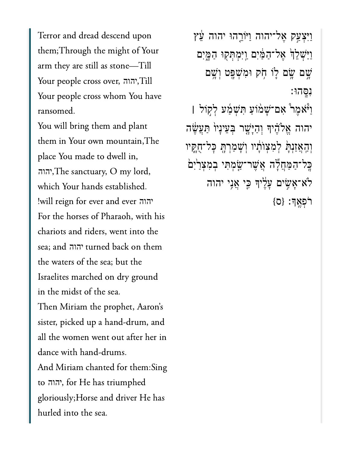Terror and dread descend upon them; Through the might of Your arm they are still as stone-Till Your people cross over, יהוה? Your people cross whom You have ransomed.

You will bring them and plant them in Your own mountain, The place You made to dwell in, ההה, The sanctuary, O my lord, which Your hands established. !will reign for ever and ever הוה For the horses of Pharaoh, with his chariots and riders, went into the sea; and יהוה turned back on them the waters of the sea; but the Israelites marched on dry ground in the midst of the sea. Then Miriam the prophet, Aaron's sister, picked up a hand-drum, and all the women went out after her in dance with hand-drums. And Miriam chanted for them:Sing to יהוה, for He has triumphed gloriously; Horse and driver He has hurled into the sea.

וַיִּצְעַק אֶל־יהוה וַיּוֹרֶהוּ יהוה עֵּׁץ וַיַּשְׁלֵךְ אֶל־הַמַּ֫יִם וַיִּמְתְּקָוּ הַמֱיִם שֵׁם שֵׂם לֵוֹ חִׂק וּמְשָׁפֵּט וְשֵׁם נסהו: וַ יוֹא מֶר אֲם־שָׁמֹוֹעַ תִּשְׁמִׁע לְקְוֹל וַ יהוה אֱלֹהֶיִדּ וְהַיְּשֶׁר בְּעֵינָיוֹ תַּעֲשֶׂה

וְהַאֲזַנְתָּ לְמִצְוֹתָיו וְשָׁמַרְהָ כְּל־חֻאֱוּו בְּל־הַמַּחֲלֶה אֲשֶׁר־שַַּׂמְתִּי בְמִצְרַיִּם לֹא־אָשִׂים עָלֶיךָ כֵּי אֲנִי יהוה רֹפְאֵךְ: {ס}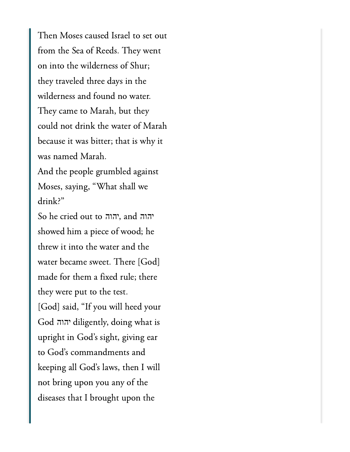$\Gamma$ kee Meer ook al Israel to set s  $\overline{C}$  into  $\overline{C}$   $\overline{D}$  into  $\overline{T}$ on into the wilderness of Shur; they traveled three days in the wilderness and found no water. They came to Marah, but they could not drink the water of Marah because it was bitter; that is why it was named Marah.  $M_1$  and shall we will define the shall we will define the shall we will define the shall we will define the shall we will define the shall we will define the shall we will define the shall we will define the shall we wi

Moses, saying, "What shall we  $drink?$ "  $\dim$ k?"<br>So he cried out to הוה, and יהוה

יהוה יהוה showed him a piece of wood; he threw it into the water and the water became sweet. There [God] made for them a fixed rule; there they were put to the test.  $[God]$  said, "If you will heed your  $C_1$  in God's signal in God's signal in God's signal in God's signal in God's signal in  $G_2$ יהוהupright in God's sight, giving ear to God's commandments and  $\begin{bmatrix} 1 & \cdots & 1 & C & D & 1 & 1 & T \end{bmatrix}$ not bring upon you any of the diseases that I brought upon the